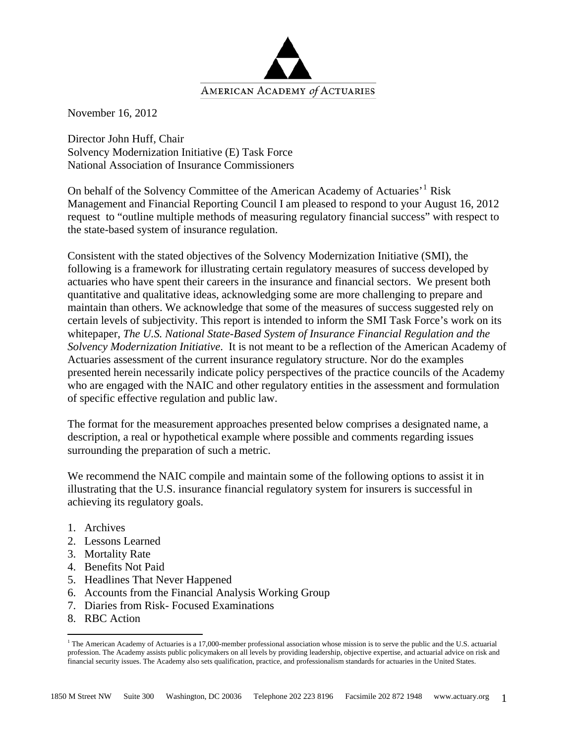

November 16, 2012

Director John Huff, Chair Solvency Modernization Initiative (E) Task Force National Association of Insurance Commissioners

On behalf of the Solvency Committee of the American Academy of Actuaries<sup>, [1](#page-0-0)</sup> Risk Management and Financial Reporting Council I am pleased to respond to your August 16, 2012 request to "outline multiple methods of measuring regulatory financial success" with respect to the state-based system of insurance regulation.

Consistent with the stated objectives of the Solvency Modernization Initiative (SMI), the following is a framework for illustrating certain regulatory measures of success developed by actuaries who have spent their careers in the insurance and financial sectors. We present both quantitative and qualitative ideas, acknowledging some are more challenging to prepare and maintain than others. We acknowledge that some of the measures of success suggested rely on certain levels of subjectivity. This report is intended to inform the SMI Task Force's work on its whitepaper, *The U.S. National State-Based System of Insurance Financial Regulation and the Solvency Modernization Initiative*. It is not meant to be a reflection of the American Academy of Actuaries assessment of the current insurance regulatory structure. Nor do the examples presented herein necessarily indicate policy perspectives of the practice councils of the Academy who are engaged with the NAIC and other regulatory entities in the assessment and formulation of specific effective regulation and public law.

The format for the measurement approaches presented below comprises a designated name, a description, a real or hypothetical example where possible and comments regarding issues surrounding the preparation of such a metric.

We recommend the NAIC compile and maintain some of the following options to assist it in illustrating that the U.S. insurance financial regulatory system for insurers is successful in achieving its regulatory goals.

- 1. Archives
- 2. Lessons Learned
- 3. Mortality Rate
- 4. Benefits Not Paid
- 5. Headlines That Never Happened
- 6. Accounts from the Financial Analysis Working Group
- 7. Diaries from Risk- Focused Examinations
- 8. RBC Action

1

<span id="page-0-0"></span><sup>1</sup> The American Academy of Actuaries is a 17,000-member professional association whose mission is to serve the public and the U.S. actuarial profession. The Academy assists public policymakers on all levels by providing leadership, objective expertise, and actuarial advice on risk and financial security issues. The Academy also sets qualification, practice, and professionalism standards for actuaries in the United States.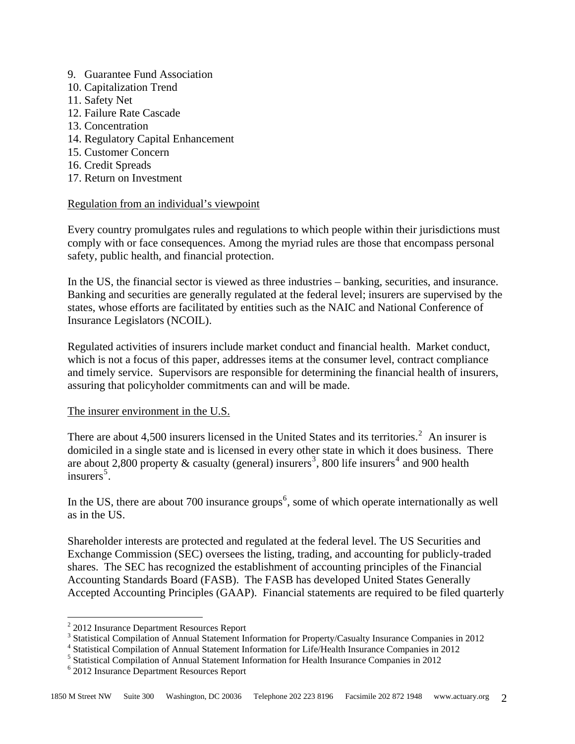- 9. Guarantee Fund Association
- 10. Capitalization Trend
- 11. Safety Net
- 12. Failure Rate Cascade
- 13. Concentration
- 14. Regulatory Capital Enhancement
- 15. Customer Concern
- 16. Credit Spreads
- 17. Return on Investment

### Regulation from an individual's viewpoint

Every country promulgates rules and regulations to which people within their jurisdictions must comply with or face consequences. Among the myriad rules are those that encompass personal safety, public health, and financial protection.

In the US, the financial sector is viewed as three industries – banking, securities, and insurance. Banking and securities are generally regulated at the federal level; insurers are supervised by the states, whose efforts are facilitated by entities such as the NAIC and National Conference of Insurance Legislators (NCOIL).

Regulated activities of insurers include market conduct and financial health. Market conduct, which is not a focus of this paper, addresses items at the consumer level, contract compliance and timely service. Supervisors are responsible for determining the financial health of insurers, assuring that policyholder commitments can and will be made.

### The insurer environment in the U.S.

There are about 4,500 insurers licensed in the United States and its territories.<sup>[2](#page-1-0)</sup> An insurer is domiciled in a single state and is licensed in every other state in which it does business. There are about 2,800 property & casualty (general) insurers<sup>[3](#page-1-1)</sup>, 800 life insurers<sup>[4](#page-1-2)</sup> and 900 health insurers<sup>[5](#page-1-3)</sup>.

In the US, there are about 700 insurance groups<sup>[6](#page-1-4)</sup>, some of which operate internationally as well as in the US.

Shareholder interests are protected and regulated at the federal level. The US Securities and Exchange Commission (SEC) oversees the listing, trading, and accounting for publicly-traded shares. The SEC has recognized the establishment of accounting principles of the Financial Accounting Standards Board (FASB). The FASB has developed United States Generally Accepted Accounting Principles (GAAP). Financial statements are required to be filed quarterly

 $\overline{a}$ 

<span id="page-1-0"></span><sup>&</sup>lt;sup>2</sup> 2012 Insurance Department Resources Report

<sup>&</sup>lt;sup>3</sup> Statistical Compilation of Annual Statement Information for Property/Casualty Insurance Companies in 2012<br><sup>4</sup> Statistical Compilation of Annual Statement Information for Life/Haalth Insurance Companies in 2012

<span id="page-1-2"></span><span id="page-1-1"></span>Statistical Compilation of Annual Statement Information for Life/Health Insurance Companies in 2012

<span id="page-1-3"></span> $^5$  Statistical Compilation of Annual Statement Information for Health Insurance Companies in 2012

<span id="page-1-4"></span> <sup>2012</sup> Insurance Department Resources Report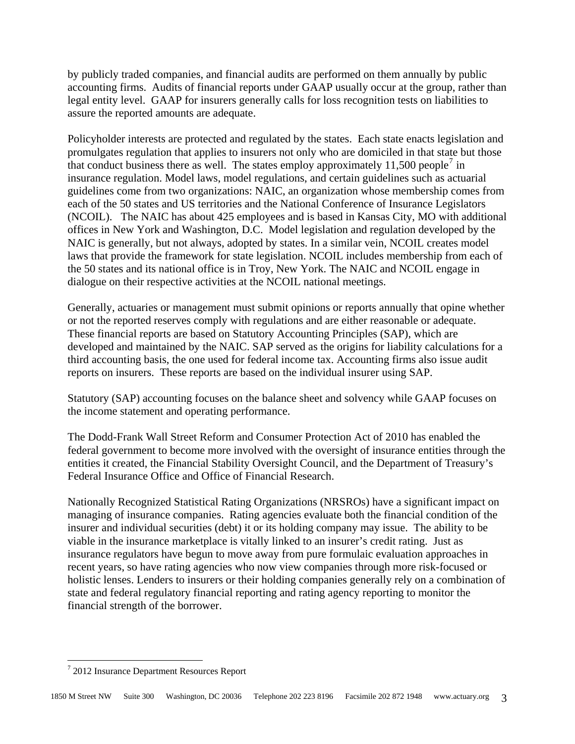by publicly traded companies, and financial audits are performed on them annually by public accounting firms. Audits of financial reports under GAAP usually occur at the group, rather than legal entity level. GAAP for insurers generally calls for loss recognition tests on liabilities to assure the reported amounts are adequate.

Policyholder interests are protected and regulated by the states. Each state enacts legislation and promulgates regulation that applies to insurers not only who are domiciled in that state but those that conduct business there as well. The states employ approximately  $11,500$  people<sup>[7](#page-2-0)</sup> in insurance regulation. Model laws, model regulations, and certain guidelines such as actuarial guidelines come from two organizations: NAIC, an organization whose membership comes from each of the 50 states and US territories and the National Conference of Insurance Legislators (NCOIL). The NAIC has about 425 employees and is based in Kansas City, MO with additional offices in New York and Washington, D.C. Model legislation and regulation developed by the NAIC is generally, but not always, adopted by states. In a similar vein, NCOIL creates model laws that provide the framework for state legislation. NCOIL includes membership from each of the 50 states and its national office is in Troy, New York. The NAIC and NCOIL engage in dialogue on their respective activities at the NCOIL national meetings.

Generally, actuaries or management must submit opinions or reports annually that opine whether or not the reported reserves comply with regulations and are either reasonable or adequate. These financial reports are based on Statutory Accounting Principles (SAP), which are developed and maintained by the NAIC. SAP served as the origins for liability calculations for a third accounting basis, the one used for federal income tax. Accounting firms also issue audit reports on insurers. These reports are based on the individual insurer using SAP.

Statutory (SAP) accounting focuses on the balance sheet and solvency while GAAP focuses on the income statement and operating performance.

The Dodd-Frank Wall Street Reform and Consumer Protection Act of 2010 has enabled the federal government to become more involved with the oversight of insurance entities through the entities it created, the Financial Stability Oversight Council, and the Department of Treasury's Federal Insurance Office and Office of Financial Research.

Nationally Recognized Statistical Rating Organizations (NRSROs) have a significant impact on managing of insurance companies. Rating agencies evaluate both the financial condition of the insurer and individual securities (debt) it or its holding company may issue. The ability to be viable in the insurance marketplace is vitally linked to an insurer's credit rating. Just as insurance regulators have begun to move away from pure formulaic evaluation approaches in recent years, so have rating agencies who now view companies through more risk-focused or holistic lenses. Lenders to insurers or their holding companies generally rely on a combination of state and federal regulatory financial reporting and rating agency reporting to monitor the financial strength of the borrower.

<u>.</u>

<span id="page-2-0"></span><sup>&</sup>lt;sup>7</sup> 2012 Insurance Department Resources Report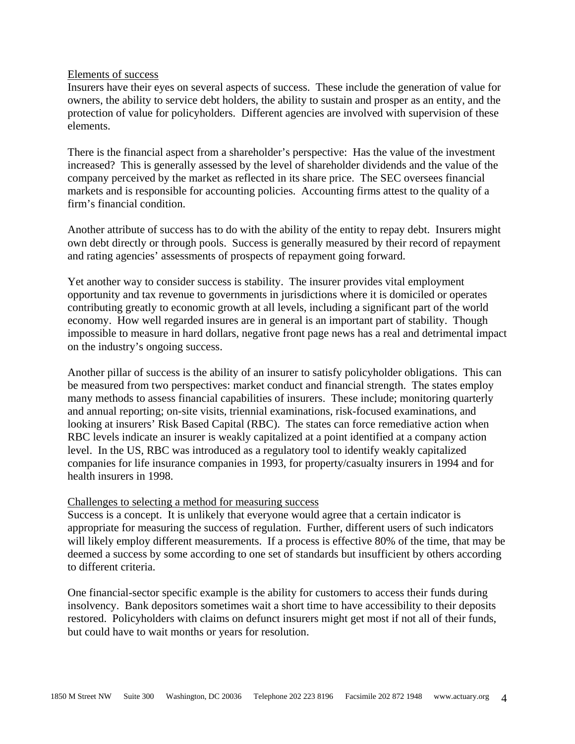#### Elements of success

Insurers have their eyes on several aspects of success. These include the generation of value for owners, the ability to service debt holders, the ability to sustain and prosper as an entity, and the protection of value for policyholders. Different agencies are involved with supervision of these elements.

There is the financial aspect from a shareholder's perspective: Has the value of the investment increased? This is generally assessed by the level of shareholder dividends and the value of the company perceived by the market as reflected in its share price. The SEC oversees financial markets and is responsible for accounting policies. Accounting firms attest to the quality of a firm's financial condition.

Another attribute of success has to do with the ability of the entity to repay debt. Insurers might own debt directly or through pools. Success is generally measured by their record of repayment and rating agencies' assessments of prospects of repayment going forward.

Yet another way to consider success is stability. The insurer provides vital employment opportunity and tax revenue to governments in jurisdictions where it is domiciled or operates contributing greatly to economic growth at all levels, including a significant part of the world economy. How well regarded insures are in general is an important part of stability. Though impossible to measure in hard dollars, negative front page news has a real and detrimental impact on the industry's ongoing success.

Another pillar of success is the ability of an insurer to satisfy policyholder obligations. This can be measured from two perspectives: market conduct and financial strength. The states employ many methods to assess financial capabilities of insurers. These include; monitoring quarterly and annual reporting; on-site visits, triennial examinations, risk-focused examinations, and looking at insurers' Risk Based Capital (RBC). The states can force remediative action when RBC levels indicate an insurer is weakly capitalized at a point identified at a company action level. In the US, RBC was introduced as a regulatory tool to identify weakly capitalized companies for life insurance companies in 1993, for property/casualty insurers in 1994 and for health insurers in 1998.

#### Challenges to selecting a method for measuring success

Success is a concept. It is unlikely that everyone would agree that a certain indicator is appropriate for measuring the success of regulation. Further, different users of such indicators will likely employ different measurements. If a process is effective 80% of the time, that may be deemed a success by some according to one set of standards but insufficient by others according to different criteria.

One financial-sector specific example is the ability for customers to access their funds during insolvency. Bank depositors sometimes wait a short time to have accessibility to their deposits restored. Policyholders with claims on defunct insurers might get most if not all of their funds, but could have to wait months or years for resolution.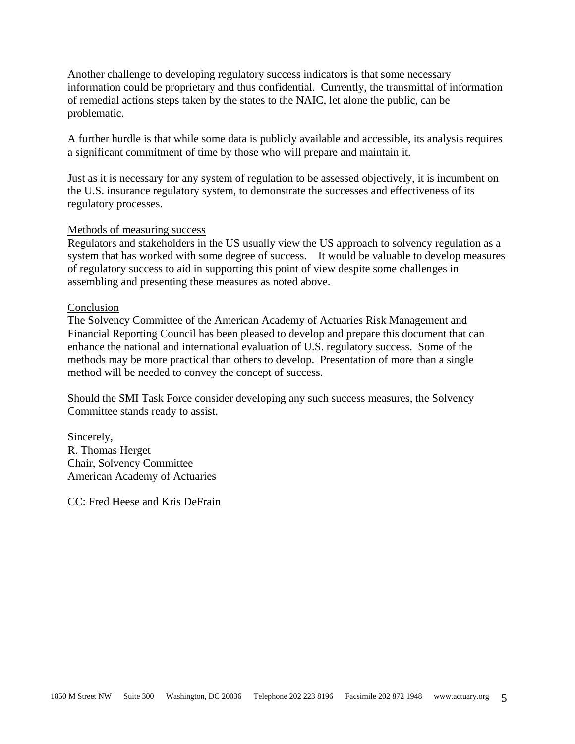Another challenge to developing regulatory success indicators is that some necessary information could be proprietary and thus confidential. Currently, the transmittal of information of remedial actions steps taken by the states to the NAIC, let alone the public, can be problematic.

A further hurdle is that while some data is publicly available and accessible, its analysis requires a significant commitment of time by those who will prepare and maintain it.

Just as it is necessary for any system of regulation to be assessed objectively, it is incumbent on the U.S. insurance regulatory system, to demonstrate the successes and effectiveness of its regulatory processes.

#### Methods of measuring success

Regulators and stakeholders in the US usually view the US approach to solvency regulation as a system that has worked with some degree of success. It would be valuable to develop measures of regulatory success to aid in supporting this point of view despite some challenges in assembling and presenting these measures as noted above.

### Conclusion

The Solvency Committee of the American Academy of Actuaries Risk Management and Financial Reporting Council has been pleased to develop and prepare this document that can enhance the national and international evaluation of U.S. regulatory success. Some of the methods may be more practical than others to develop. Presentation of more than a single method will be needed to convey the concept of success.

Should the SMI Task Force consider developing any such success measures, the Solvency Committee stands ready to assist.

Sincerely, R. Thomas Herget Chair, Solvency Committee American Academy of Actuaries

CC: Fred Heese and Kris DeFrain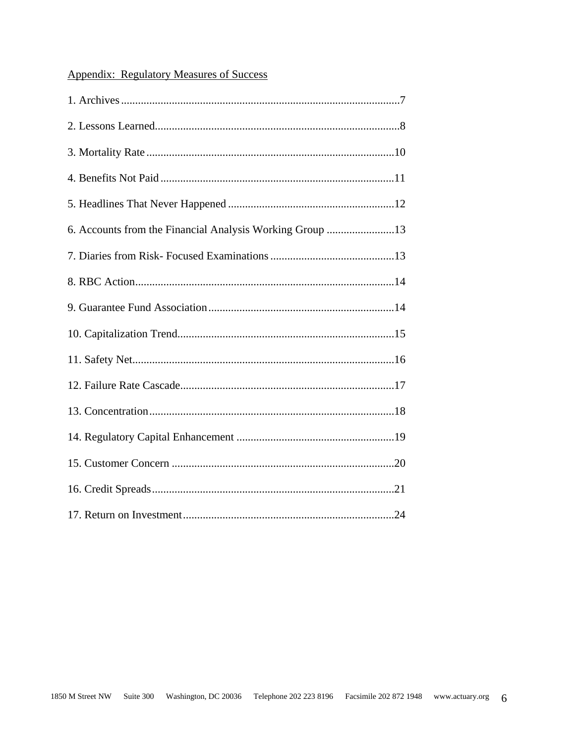# **Appendix: Regulatory Measures of Success**

| 6. Accounts from the Financial Analysis Working Group 13 |
|----------------------------------------------------------|
|                                                          |
|                                                          |
|                                                          |
|                                                          |
|                                                          |
|                                                          |
|                                                          |
|                                                          |
|                                                          |
|                                                          |
|                                                          |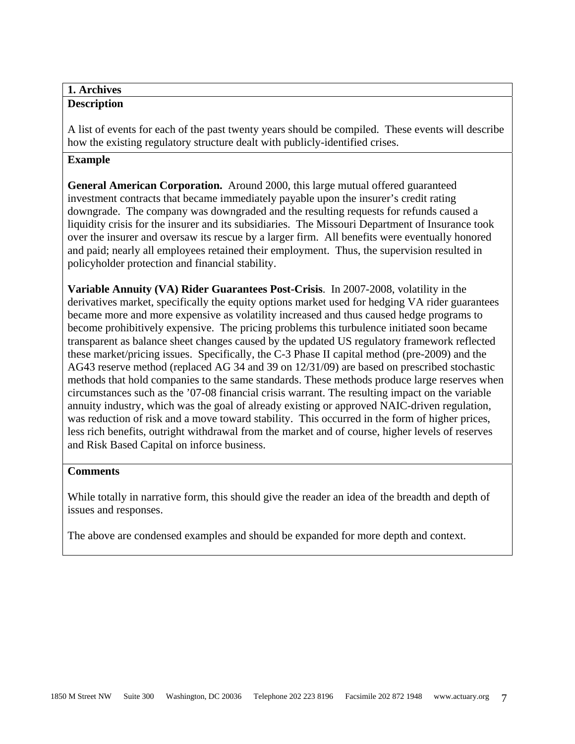# **1. Archives**

# **Description**

A list of events for each of the past twenty years should be compiled. These events will describe how the existing regulatory structure dealt with publicly-identified crises.

# **Example**

**General American Corporation.** Around 2000, this large mutual offered guaranteed investment contracts that became immediately payable upon the insurer's credit rating downgrade. The company was downgraded and the resulting requests for refunds caused a liquidity crisis for the insurer and its subsidiaries. The Missouri Department of Insurance took over the insurer and oversaw its rescue by a larger firm. All benefits were eventually honored and paid; nearly all employees retained their employment. Thus, the supervision resulted in policyholder protection and financial stability.

**Variable Annuity (VA) Rider Guarantees Post-Crisis**. In 2007-2008, volatility in the derivatives market, specifically the equity options market used for hedging VA rider guarantees became more and more expensive as volatility increased and thus caused hedge programs to become prohibitively expensive. The pricing problems this turbulence initiated soon became transparent as balance sheet changes caused by the updated US regulatory framework reflected these market/pricing issues. Specifically, the C-3 Phase II capital method (pre-2009) and the AG43 reserve method (replaced AG 34 and 39 on 12/31/09) are based on prescribed stochastic methods that hold companies to the same standards. These methods produce large reserves when circumstances such as the '07-08 financial crisis warrant. The resulting impact on the variable annuity industry, which was the goal of already existing or approved NAIC-driven regulation, was reduction of risk and a move toward stability. This occurred in the form of higher prices, less rich benefits, outright withdrawal from the market and of course, higher levels of reserves and Risk Based Capital on inforce business.

# **Comments**

While totally in narrative form, this should give the reader an idea of the breadth and depth of issues and responses.

The above are condensed examples and should be expanded for more depth and context.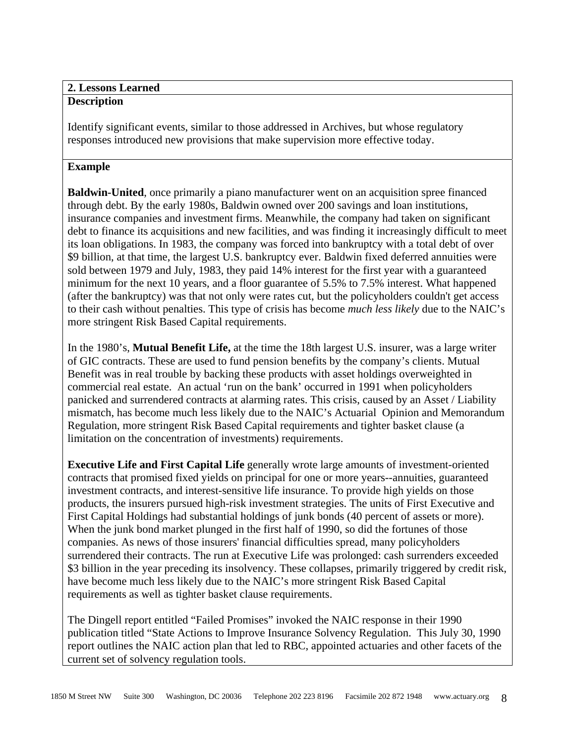### **2. Lessons Learned Description**

Identify significant events, similar to those addressed in Archives, but whose regulatory responses introduced new provisions that make supervision more effective today.

# **Example**

**Baldwin-United**, once primarily a piano manufacturer went on an acquisition spree financed through debt. By the early 1980s, Baldwin owned over 200 savings and loan institutions, insurance companies and investment firms. Meanwhile, the company had taken on significant debt to finance its acquisitions and new facilities, and was finding it increasingly difficult to meet its loan obligations. In 1983, the company was forced into bankruptcy with a total debt of over \$9 billion, at that time, the largest U.S. bankruptcy ever. Baldwin fixed deferred annuities were sold between 1979 and July, 1983, they paid 14% interest for the first year with a guaranteed minimum for the next 10 years, and a floor guarantee of 5.5% to 7.5% interest. What happened (after the bankruptcy) was that not only were rates cut, but the policyholders couldn't get access to their cash without penalties. This type of crisis has become *much less likely* due to the NAIC's more stringent Risk Based Capital requirements.

In the 1980's, **Mutual Benefit Life,** at the time the 18th largest U.S. insurer, was a large writer of GIC contracts. These are used to fund pension benefits by the company's clients. Mutual Benefit was in real trouble by backing these products with asset holdings overweighted in commercial real estate. An actual 'run on the bank' occurred in 1991 when policyholders panicked and surrendered contracts at alarming rates. This crisis, caused by an Asset / Liability mismatch, has become much less likely due to the NAIC's Actuarial Opinion and Memorandum Regulation, more stringent Risk Based Capital requirements and tighter basket clause (a limitation on the concentration of investments) requirements.

**Executive Life and First Capital Life** generally wrote large amounts of investment-oriented contracts that promised fixed yields on principal for one or more years--annuities, guaranteed investment contracts, and interest-sensitive life insurance. To provide high yields on those products, the insurers pursued high-risk investment strategies. The units of First Executive and First Capital Holdings had substantial holdings of junk bonds (40 percent of assets or more). When the junk bond market plunged in the first half of 1990, so did the fortunes of those companies. As news of those insurers' financial difficulties spread, many policyholders surrendered their contracts. The run at Executive Life was prolonged: cash surrenders exceeded \$3 billion in the year preceding its insolvency. These collapses, primarily triggered by credit risk, have become much less likely due to the NAIC's more stringent Risk Based Capital requirements as well as tighter basket clause requirements.

The Dingell report entitled "Failed Promises" invoked the NAIC response in their 1990 publication titled "State Actions to Improve Insurance Solvency Regulation. This July 30, 1990 report outlines the NAIC action plan that led to RBC, appointed actuaries and other facets of the current set of solvency regulation tools.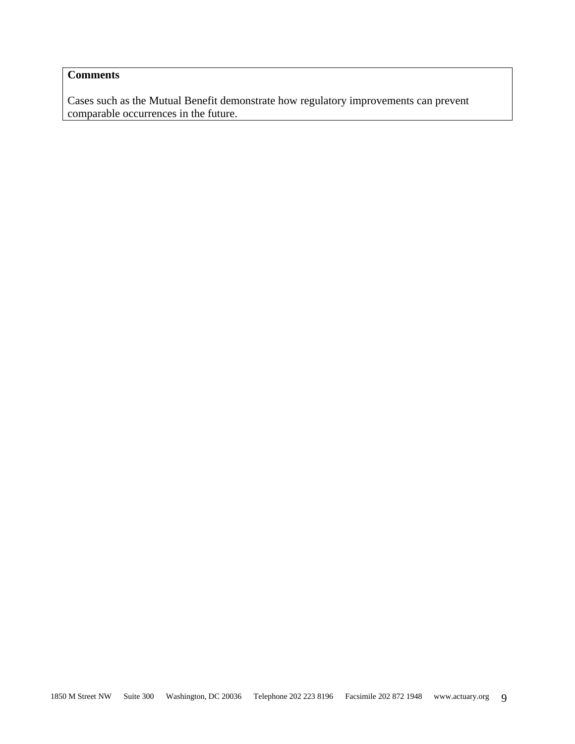# **Comments**

Cases such as the Mutual Benefit demonstrate how regulatory improvements can prevent comparable occurrences in the future.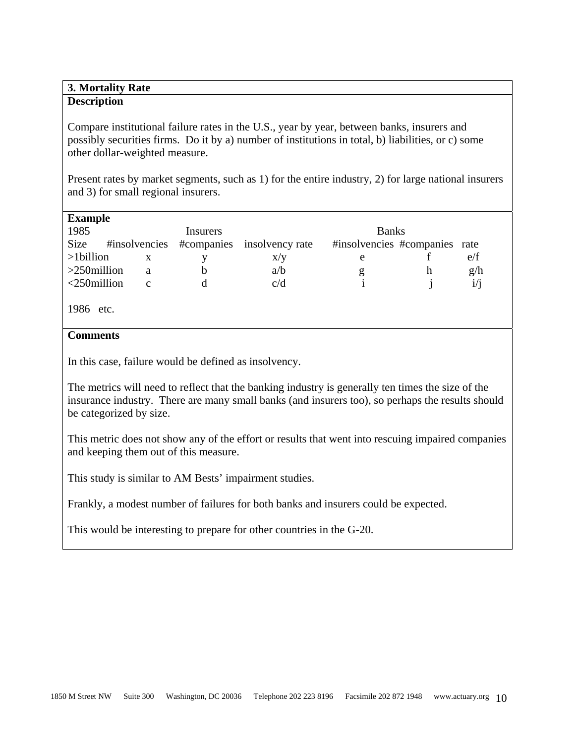### **3. Mortality Rate Description**

Compare institutional failure rates in the U.S., year by year, between banks, insurers and possibly securities firms. Do it by a) number of institutions in total, b) liabilities, or c) some other dollar-weighted measure.

Present rates by market segments, such as 1) for the entire industry, 2) for large national insurers and 3) for small regional insurers.

### **Example**

| 1985              | <b>Banks</b><br><i>Insurers</i> |   |  |                                          |                               |     |
|-------------------|---------------------------------|---|--|------------------------------------------|-------------------------------|-----|
| Size              |                                 |   |  | #insolvencies #companies insolvency rate | #insolvencies #companies rate |     |
| $>1$ billion      |                                 |   |  | X/Y                                      |                               | e/t |
| $>$ 250million    |                                 | a |  | a/b                                      | g                             | g/h |
| $\leq$ 250million |                                 |   |  | c/d                                      |                               |     |

1986 etc.

# **Comments**

In this case, failure would be defined as insolvency.

The metrics will need to reflect that the banking industry is generally ten times the size of the insurance industry. There are many small banks (and insurers too), so perhaps the results should be categorized by size.

This metric does not show any of the effort or results that went into rescuing impaired companies and keeping them out of this measure.

This study is similar to AM Bests' impairment studies.

Frankly, a modest number of failures for both banks and insurers could be expected.

This would be interesting to prepare for other countries in the G-20.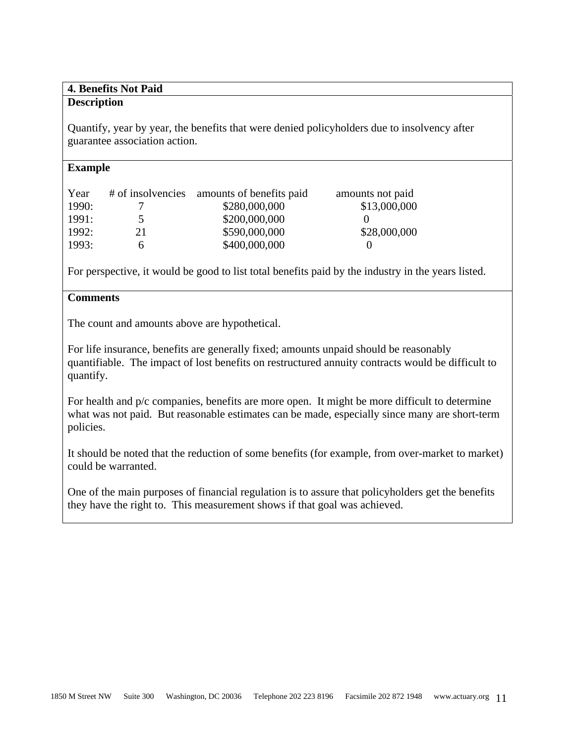# **4. Benefits Not Paid**

# **Description**

Quantify, year by year, the benefits that were denied policyholders due to insolvency after guarantee association action.

# **Example**

| Year  |               | # of insolvencies amounts of benefits paid | amounts not paid |
|-------|---------------|--------------------------------------------|------------------|
| 1990: |               | \$280,000,000                              | \$13,000,000     |
| 1991: | $\mathcal{D}$ | \$200,000,000                              |                  |
| 1992: | 21            | \$590,000,000                              | \$28,000,000     |
| 1993: | h             | \$400,000,000                              |                  |

For perspective, it would be good to list total benefits paid by the industry in the years listed.

# **Comments**

The count and amounts above are hypothetical.

For life insurance, benefits are generally fixed; amounts unpaid should be reasonably quantifiable. The impact of lost benefits on restructured annuity contracts would be difficult to quantify.

For health and p/c companies, benefits are more open. It might be more difficult to determine what was not paid. But reasonable estimates can be made, especially since many are short-term policies.

It should be noted that the reduction of some benefits (for example, from over-market to market) could be warranted.

One of the main purposes of financial regulation is to assure that policyholders get the benefits they have the right to. This measurement shows if that goal was achieved.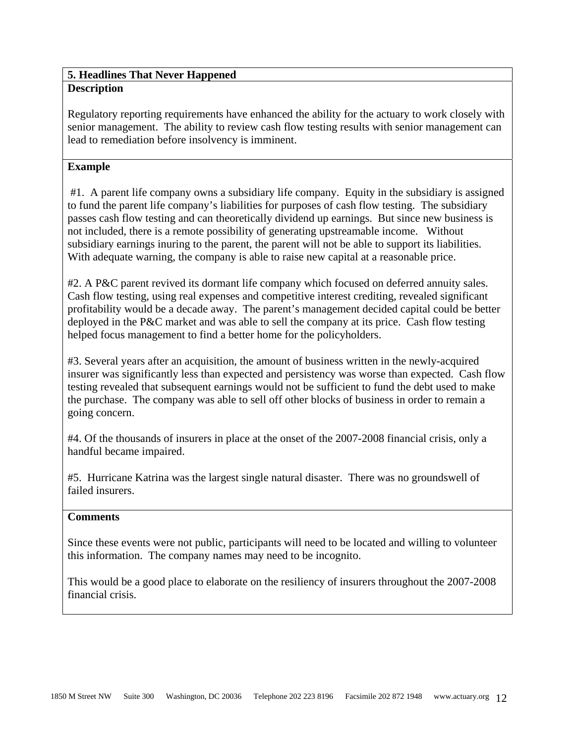# **5. Headlines That Never Happened Description**

Regulatory reporting requirements have enhanced the ability for the actuary to work closely with senior management. The ability to review cash flow testing results with senior management can lead to remediation before insolvency is imminent.

# **Example**

 #1. A parent life company owns a subsidiary life company. Equity in the subsidiary is assigned to fund the parent life company's liabilities for purposes of cash flow testing. The subsidiary passes cash flow testing and can theoretically dividend up earnings. But since new business is not included, there is a remote possibility of generating upstreamable income. Without subsidiary earnings inuring to the parent, the parent will not be able to support its liabilities. With adequate warning, the company is able to raise new capital at a reasonable price.

#2. A P&C parent revived its dormant life company which focused on deferred annuity sales. Cash flow testing, using real expenses and competitive interest crediting, revealed significant profitability would be a decade away. The parent's management decided capital could be better deployed in the P&C market and was able to sell the company at its price. Cash flow testing helped focus management to find a better home for the policyholders.

#3. Several years after an acquisition, the amount of business written in the newly-acquired insurer was significantly less than expected and persistency was worse than expected. Cash flow testing revealed that subsequent earnings would not be sufficient to fund the debt used to make the purchase. The company was able to sell off other blocks of business in order to remain a going concern.

#4. Of the thousands of insurers in place at the onset of the 2007-2008 financial crisis, only a handful became impaired.

#5. Hurricane Katrina was the largest single natural disaster. There was no groundswell of failed insurers.

### **Comments**

Since these events were not public, participants will need to be located and willing to volunteer this information. The company names may need to be incognito.

This would be a good place to elaborate on the resiliency of insurers throughout the 2007-2008 financial crisis.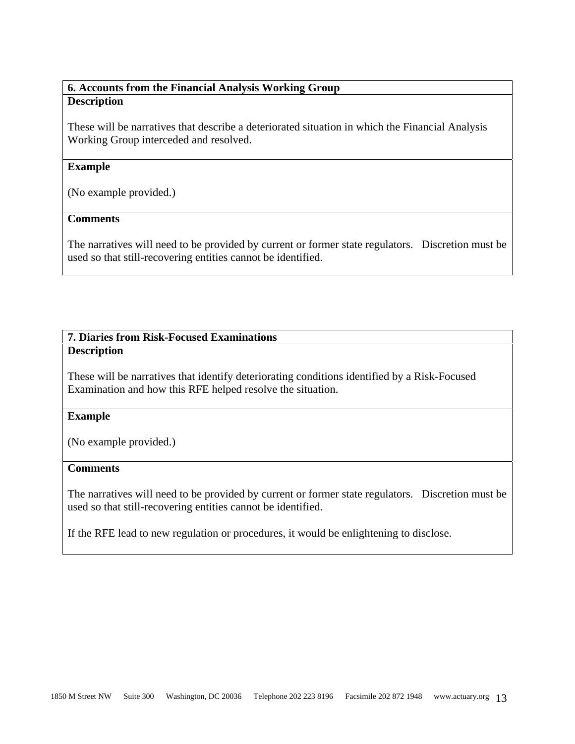# **6. Accounts from the Financial Analysis Working Group Description**

These will be narratives that describe a deteriorated situation in which the Financial Analysis Working Group interceded and resolved.

### **Example**

(No example provided.)

### **Comments**

The narratives will need to be provided by current or former state regulators. Discretion must be used so that still-recovering entities cannot be identified.

# **7. Diaries from Risk-Focused Examinations**

# **Description**

These will be narratives that identify deteriorating conditions identified by a Risk-Focused Examination and how this RFE helped resolve the situation.

### **Example**

(No example provided.)

### **Comments**

The narratives will need to be provided by current or former state regulators. Discretion must be used so that still-recovering entities cannot be identified.

If the RFE lead to new regulation or procedures, it would be enlightening to disclose.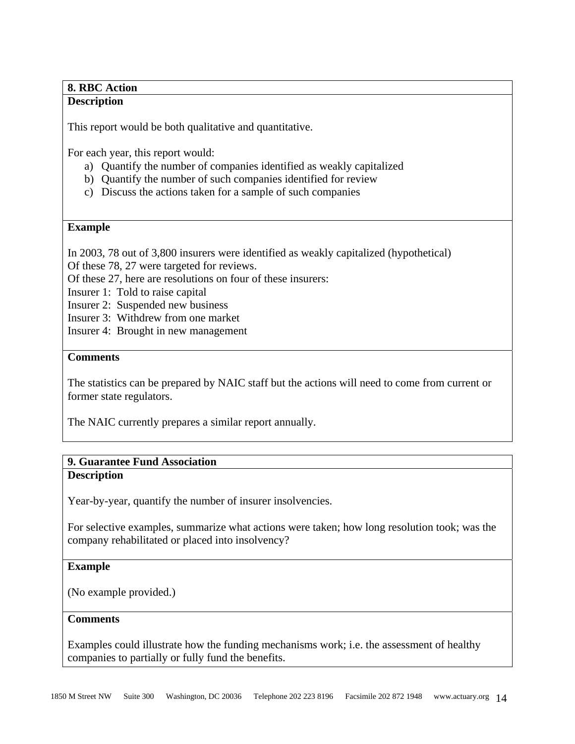### **8. RBC Action Description**

This report would be both qualitative and quantitative.

For each year, this report would:

- a) Quantify the number of companies identified as weakly capitalized
- b) Quantify the number of such companies identified for review
- c) Discuss the actions taken for a sample of such companies

### **Example**

In 2003, 78 out of 3,800 insurers were identified as weakly capitalized (hypothetical)

Of these 78, 27 were targeted for reviews.

Of these 27, here are resolutions on four of these insurers:

Insurer 1: Told to raise capital

Insurer 2: Suspended new business

Insurer 3: Withdrew from one market

Insurer 4: Brought in new management

# **Comments**

The statistics can be prepared by NAIC staff but the actions will need to come from current or former state regulators.

The NAIC currently prepares a similar report annually.

# **9. Guarantee Fund Association**

### **Description**

Year-by-year, quantify the number of insurer insolvencies.

For selective examples, summarize what actions were taken; how long resolution took; was the company rehabilitated or placed into insolvency?

### **Example**

(No example provided.)

## **Comments**

Examples could illustrate how the funding mechanisms work; i.e. the assessment of healthy companies to partially or fully fund the benefits.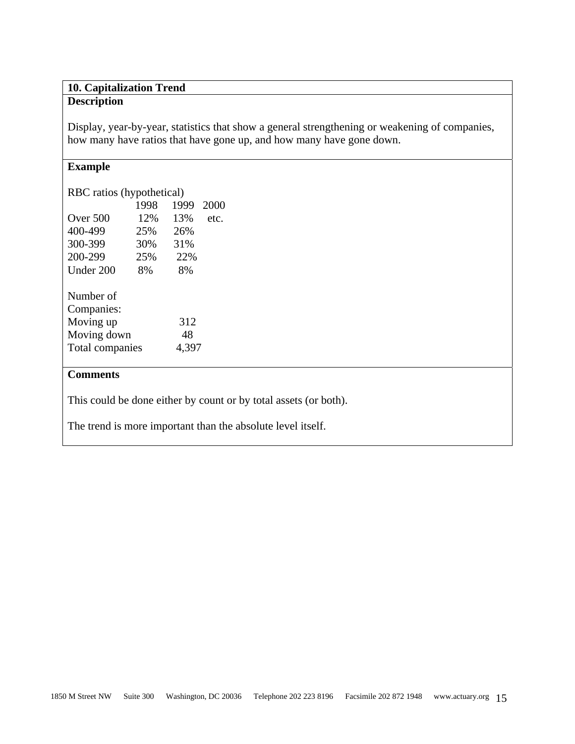# **10. Capitalization Trend Description**

Display, year-by-year, statistics that show a general strengthening or weakening of companies, how many have ratios that have gone up, and how many have gone down.

# **Example**

RBC ratios (hypothetical)

|                         | 1998 | 1999  | 2000 |
|-------------------------|------|-------|------|
| Over $500$              | 12%  | 13%   | etc. |
| 400-499                 | 25%  | 26%   |      |
| 300-399                 | 30%  | 31%   |      |
| 200-299                 | 25%  | 22%   |      |
| Under 200               | 8%   | 8%    |      |
| Number of<br>Companies: |      |       |      |
| Moving up               |      | 312   |      |
| Moving down             |      | 48    |      |
| Total companies         |      | 4,397 |      |
|                         |      |       |      |

# **Comments**

This could be done either by count or by total assets (or both).

The trend is more important than the absolute level itself.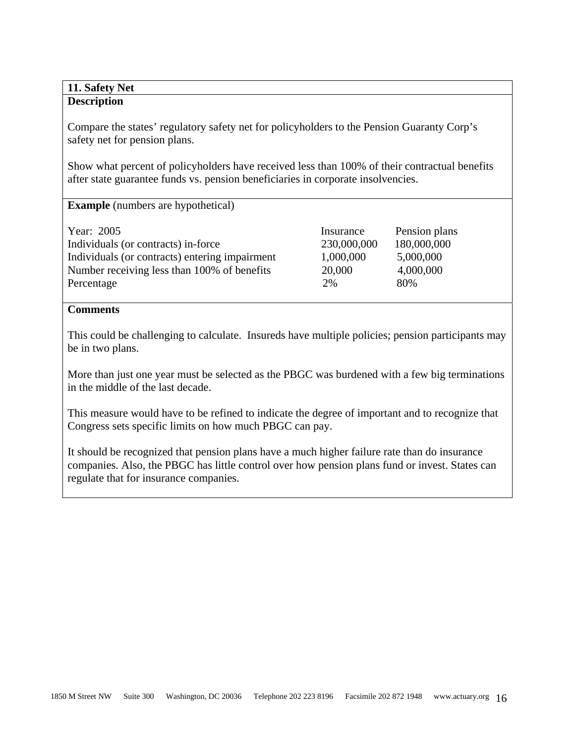### **11. Safety Net Description**

Compare the states' regulatory safety net for policyholders to the Pension Guaranty Corp's safety net for pension plans.

Show what percent of policyholders have received less than 100% of their contractual benefits after state guarantee funds vs. pension beneficiaries in corporate insolvencies.

**Example** (numbers are hypothetical)

| Year: 2005<br>Individuals (or contracts) in-force<br>Individuals (or contracts) entering impairment<br>Number receiving less than 100% of benefits | Insurance<br>230,000,000<br>1,000,000<br>20,000 | Pension plans<br>180,000,000<br>5,000,000<br>4,000,000 |
|----------------------------------------------------------------------------------------------------------------------------------------------------|-------------------------------------------------|--------------------------------------------------------|
| Percentage                                                                                                                                         | 2%                                              | 80%                                                    |
|                                                                                                                                                    |                                                 |                                                        |

### **Comments**

This could be challenging to calculate. Insureds have multiple policies; pension participants may be in two plans.

More than just one year must be selected as the PBGC was burdened with a few big terminations in the middle of the last decade.

This measure would have to be refined to indicate the degree of important and to recognize that Congress sets specific limits on how much PBGC can pay.

It should be recognized that pension plans have a much higher failure rate than do insurance companies. Also, the PBGC has little control over how pension plans fund or invest. States can regulate that for insurance companies.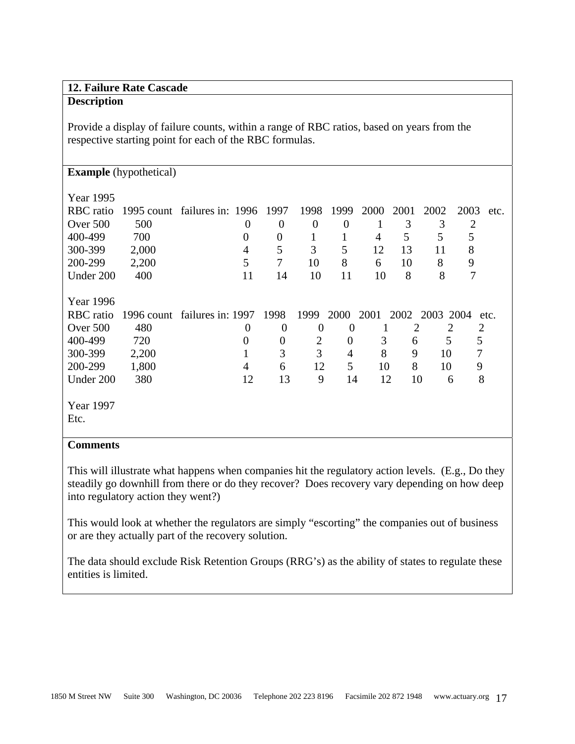# **12. Failure Rate Cascade**

### **Description**

Provide a display of failure counts, within a range of RBC ratios, based on years from the respective starting point for each of the RBC formulas.

# **Example** (hypothetical)

| 1995 count failures in: 1996 1997<br>1998<br>1999<br>2002<br>2000<br>2001<br>2003<br>RBC ratio    | etc. |
|---------------------------------------------------------------------------------------------------|------|
|                                                                                                   |      |
| 500<br>Over 500<br>$\overline{0}$<br>3<br>3<br>$\theta$<br>$\theta$<br>2<br>$\theta$              |      |
| 700<br>400-499<br>$\overline{0}$<br>5<br>5<br>5<br>0<br>1<br>4                                    |      |
| 3<br>300-399<br>5<br>5<br>13<br>8<br>2,000<br>4<br>12<br>11                                       |      |
| 8<br>8<br>200-299<br>5<br>7<br>10<br>9<br>2,200<br>10<br>6                                        |      |
| 8<br>8<br>7<br>10<br>400<br>11<br>14<br>11<br>10<br>Under 200                                     |      |
|                                                                                                   |      |
| Year 1996                                                                                         |      |
| 1996 count failures in: 1997 1998<br>1999<br>2000<br>2002 2003 2004<br>2001<br>RBC ratio<br>etc.  |      |
| 480<br>Over 500<br>$\overline{2}$<br>$\theta$<br>$\theta$<br>2<br>2<br>$\overline{0}$<br>$\Omega$ |      |
| 5<br>400-499<br>$\overline{2}$<br>5<br>720<br>3<br>$\overline{0}$<br>0<br>0<br>6                  |      |
| 3<br>3<br>8<br>7<br>9<br>300-399<br>2,200<br>10<br>4                                              |      |
| 1,800<br>5<br>8<br>200-299<br>12<br>10<br>10<br>9<br>4<br>6                                       |      |
| 8<br>380<br>13<br>9<br>12<br>10<br>Under 200<br>12<br>14<br>6                                     |      |
|                                                                                                   |      |
| Year 1997                                                                                         |      |
| Etc.                                                                                              |      |

### **Comments**

This will illustrate what happens when companies hit the regulatory action levels. (E.g., Do they steadily go downhill from there or do they recover? Does recovery vary depending on how deep into regulatory action they went?)

This would look at whether the regulators are simply "escorting" the companies out of business or are they actually part of the recovery solution.

The data should exclude Risk Retention Groups (RRG's) as the ability of states to regulate these entities is limited.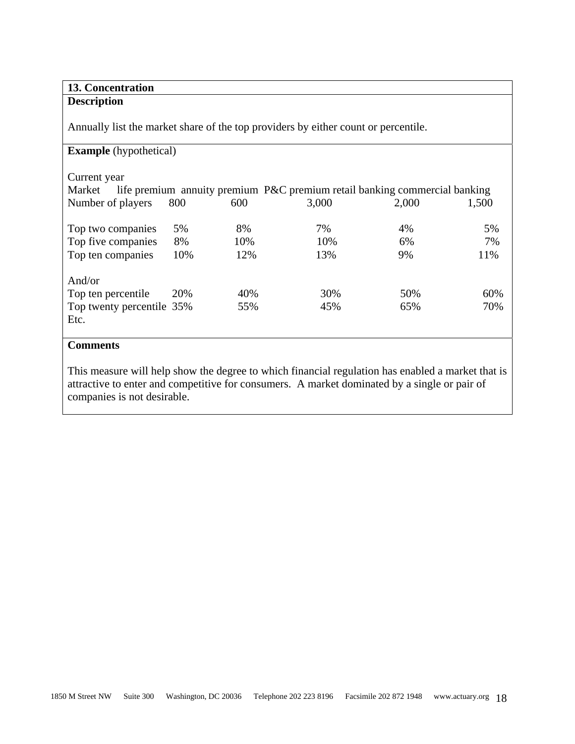# **13. Concentration Description**

Annually list the market share of the top providers by either count or percentile.

# **Example** (hypothetical)

| Current year                      |     |     |                                                                            |       |       |
|-----------------------------------|-----|-----|----------------------------------------------------------------------------|-------|-------|
| Market                            |     |     | life premium annuity premium P&C premium retail banking commercial banking |       |       |
| Number of players                 | 800 | 600 | 3,000                                                                      | 2,000 | 1,500 |
| Top two companies                 | 5%  | 8%  | 7%                                                                         | 4%    | 5%    |
| Top five companies                | 8%  | 10% | 10%                                                                        | 6%    | 7%    |
| Top ten companies                 | 10% | 12% | 13%                                                                        | 9%    | 11%   |
| And/or                            |     |     |                                                                            |       |       |
| Top ten percentile                | 20% | 40% | 30%                                                                        | 50%   | 60%   |
| Top twenty percentile 35%<br>Etc. |     | 55% | 45%                                                                        | 65%   | 70%   |

### **Comments**

This measure will help show the degree to which financial regulation has enabled a market that is attractive to enter and competitive for consumers. A market dominated by a single or pair of companies is not desirable.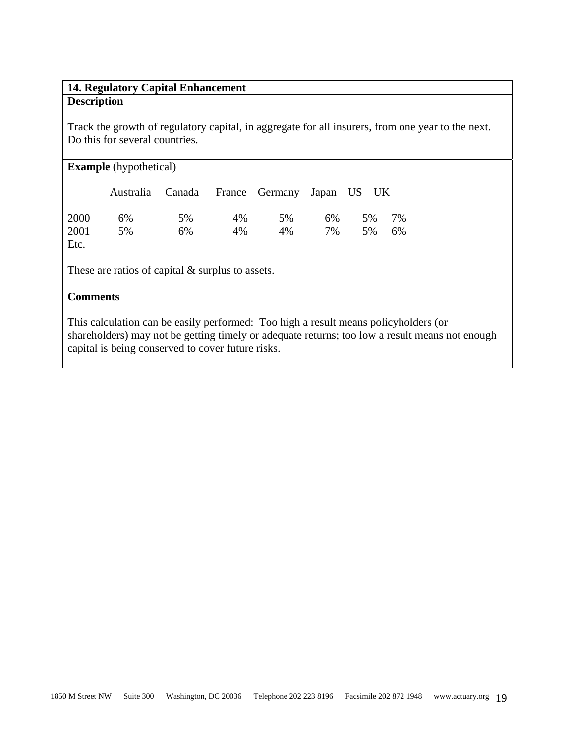# **14. Regulatory Capital Enhancement Description**

Track the growth of regulatory capital, in aggregate for all insurers, from one year to the next. Do this for several countries.

# **Example** (hypothetical)

|                      |          |          |          | Australia Canada France Germany Japan US UK |          |           |          |
|----------------------|----------|----------|----------|---------------------------------------------|----------|-----------|----------|
| 2000<br>2001<br>Etc. | 6%<br>5% | 5%<br>6% | 4%<br>4% | 5%<br>4%                                    | 6%<br>7% | 5%<br>.5% | 7%<br>6% |

These are ratios of capital & surplus to assets.

### **Comments**

This calculation can be easily performed: Too high a result means policyholders (or shareholders) may not be getting timely or adequate returns; too low a result means not enough capital is being conserved to cover future risks.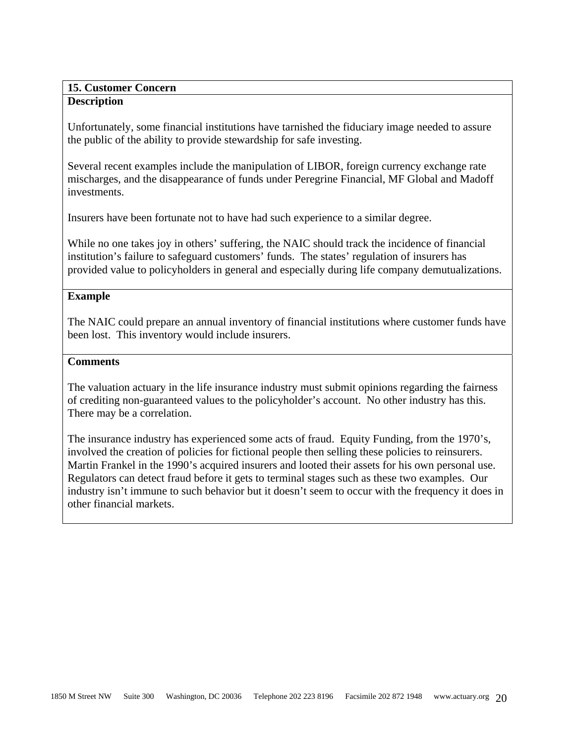### **15. Customer Concern Description**

Unfortunately, some financial institutions have tarnished the fiduciary image needed to assure the public of the ability to provide stewardship for safe investing.

Several recent examples include the manipulation of LIBOR, foreign currency exchange rate mischarges, and the disappearance of funds under Peregrine Financial, MF Global and Madoff investments.

Insurers have been fortunate not to have had such experience to a similar degree.

While no one takes joy in others' suffering, the NAIC should track the incidence of financial institution's failure to safeguard customers' funds. The states' regulation of insurers has provided value to policyholders in general and especially during life company demutualizations.

### **Example**

The NAIC could prepare an annual inventory of financial institutions where customer funds have been lost. This inventory would include insurers.

### **Comments**

The valuation actuary in the life insurance industry must submit opinions regarding the fairness of crediting non-guaranteed values to the policyholder's account. No other industry has this. There may be a correlation.

The insurance industry has experienced some acts of fraud. Equity Funding, from the 1970's, involved the creation of policies for fictional people then selling these policies to reinsurers. Martin Frankel in the 1990's acquired insurers and looted their assets for his own personal use. Regulators can detect fraud before it gets to terminal stages such as these two examples. Our industry isn't immune to such behavior but it doesn't seem to occur with the frequency it does in other financial markets.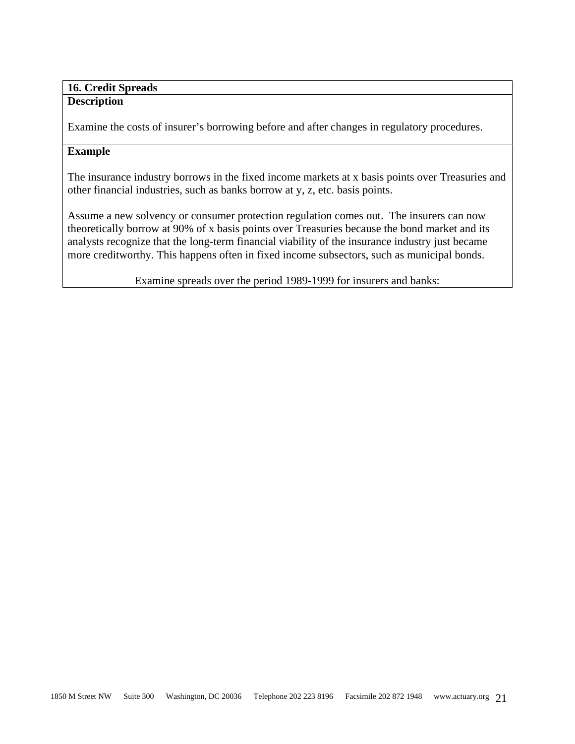### **16. Credit Spreads Description**

Examine the costs of insurer's borrowing before and after changes in regulatory procedures.

### **Example**

The insurance industry borrows in the fixed income markets at x basis points over Treasuries and other financial industries, such as banks borrow at y, z, etc. basis points.

Assume a new solvency or consumer protection regulation comes out. The insurers can now theoretically borrow at 90% of x basis points over Treasuries because the bond market and its analysts recognize that the long-term financial viability of the insurance industry just became more creditworthy. This happens often in fixed income subsectors, such as municipal bonds.

Examine spreads over the period 1989-1999 for insurers and banks: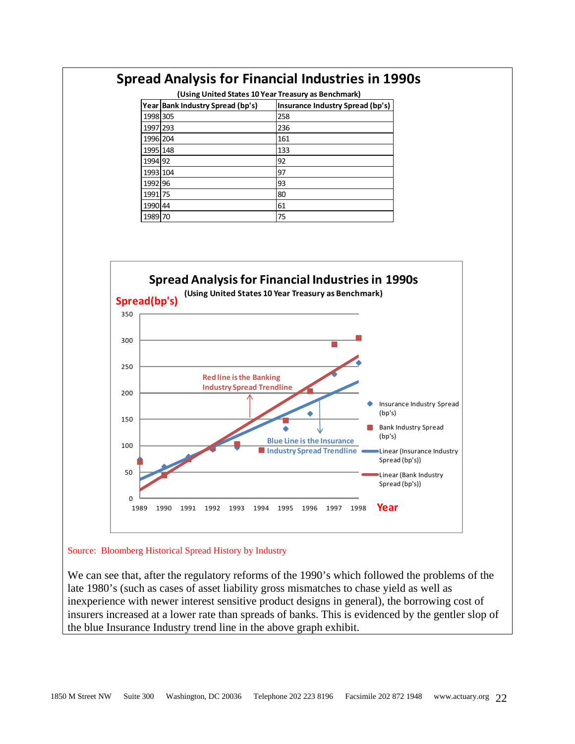|          | (Using United States 10 Year Treasury as Benchmark) |                                  |  |  |  |  |  |  |
|----------|-----------------------------------------------------|----------------------------------|--|--|--|--|--|--|
| Year     | Bank Industry Spread (bp's)                         | Insurance Industry Spread (bp's) |  |  |  |  |  |  |
| 1998 305 |                                                     | 258                              |  |  |  |  |  |  |
| 1997 293 |                                                     | 236                              |  |  |  |  |  |  |
| 1996 204 |                                                     | 161                              |  |  |  |  |  |  |
| 1995 148 |                                                     | 133                              |  |  |  |  |  |  |
| 1994 92  |                                                     | 92                               |  |  |  |  |  |  |
| 1993 104 |                                                     | 97                               |  |  |  |  |  |  |
| 1992196  |                                                     | 93                               |  |  |  |  |  |  |
| 1991 75  |                                                     | 80                               |  |  |  |  |  |  |
| 1990 44  |                                                     | 61                               |  |  |  |  |  |  |
| 1989     | 70                                                  | 75                               |  |  |  |  |  |  |

**Spread Analysis for Financial Industries in 1990s**



#### Source: Bloomberg Historical Spread History by Industry

We can see that, after the regulatory reforms of the 1990's which followed the problems of the late 1980's (such as cases of asset liability gross mismatches to chase yield as well as inexperience with newer interest sensitive product designs in general), the borrowing cost of insurers increased at a lower rate than spreads of banks. This is evidenced by the gentler slop of the blue Insurance Industry trend line in the above graph exhibit.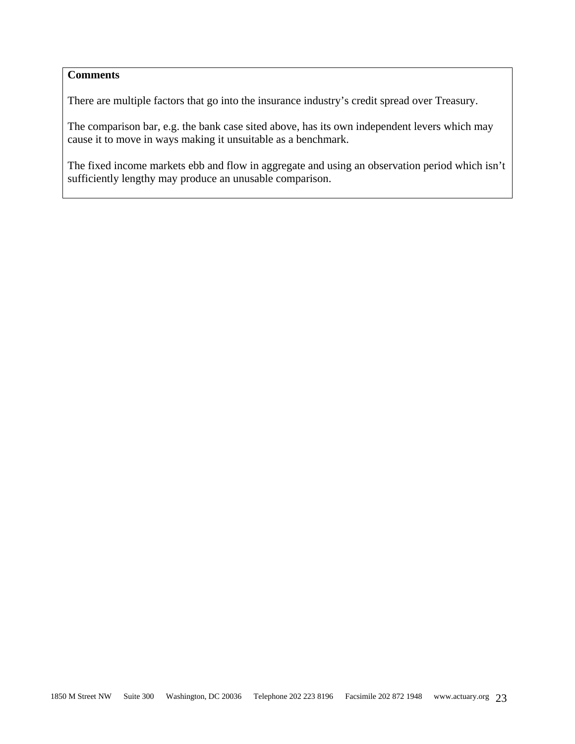# **Comments**

There are multiple factors that go into the insurance industry's credit spread over Treasury.

The comparison bar, e.g. the bank case sited above, has its own independent levers which may cause it to move in ways making it unsuitable as a benchmark.

The fixed income markets ebb and flow in aggregate and using an observation period which isn't sufficiently lengthy may produce an unusable comparison.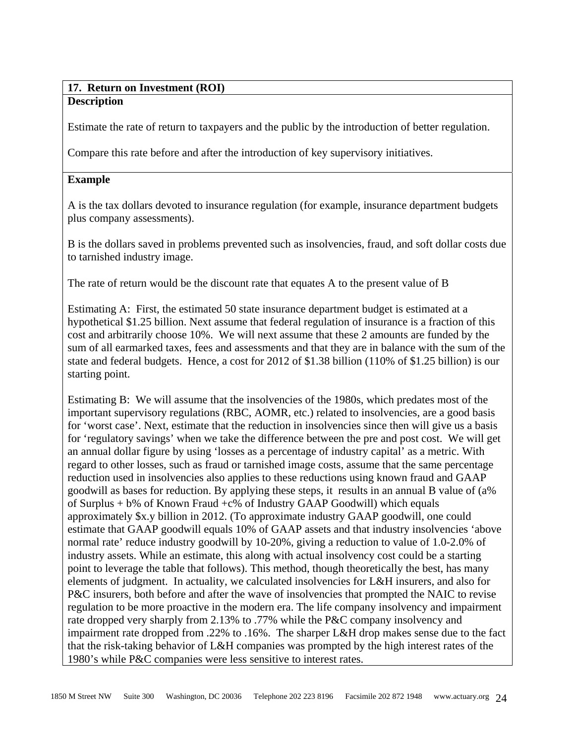# **17. Return on Investment (ROI) Description**

Estimate the rate of return to taxpayers and the public by the introduction of better regulation.

Compare this rate before and after the introduction of key supervisory initiatives.

# **Example**

A is the tax dollars devoted to insurance regulation (for example, insurance department budgets plus company assessments).

B is the dollars saved in problems prevented such as insolvencies, fraud, and soft dollar costs due to tarnished industry image.

The rate of return would be the discount rate that equates A to the present value of B

Estimating A: First, the estimated 50 state insurance department budget is estimated at a hypothetical \$1.25 billion. Next assume that federal regulation of insurance is a fraction of this cost and arbitrarily choose 10%. We will next assume that these 2 amounts are funded by the sum of all earmarked taxes, fees and assessments and that they are in balance with the sum of the state and federal budgets. Hence, a cost for 2012 of \$1.38 billion (110% of \$1.25 billion) is our starting point.

Estimating B: We will assume that the insolvencies of the 1980s, which predates most of the important supervisory regulations (RBC, AOMR, etc.) related to insolvencies, are a good basis for 'worst case'. Next, estimate that the reduction in insolvencies since then will give us a basis for 'regulatory savings' when we take the difference between the pre and post cost. We will get an annual dollar figure by using 'losses as a percentage of industry capital' as a metric. With regard to other losses, such as fraud or tarnished image costs, assume that the same percentage reduction used in insolvencies also applies to these reductions using known fraud and GAAP goodwill as bases for reduction. By applying these steps, it results in an annual B value of (a% of Surplus  $+ b$ % of Known Fraud  $+ c$ % of Industry GAAP Goodwill) which equals approximately \$x.y billion in 2012. (To approximate industry GAAP goodwill, one could estimate that GAAP goodwill equals 10% of GAAP assets and that industry insolvencies 'above normal rate' reduce industry goodwill by 10-20%, giving a reduction to value of 1.0-2.0% of industry assets. While an estimate, this along with actual insolvency cost could be a starting point to leverage the table that follows). This method, though theoretically the best, has many elements of judgment. In actuality, we calculated insolvencies for L&H insurers, and also for P&C insurers, both before and after the wave of insolvencies that prompted the NAIC to revise regulation to be more proactive in the modern era. The life company insolvency and impairment rate dropped very sharply from 2.13% to .77% while the P&C company insolvency and impairment rate dropped from .22% to .16%. The sharper L&H drop makes sense due to the fact that the risk-taking behavior of L&H companies was prompted by the high interest rates of the 1980's while P&C companies were less sensitive to interest rates.